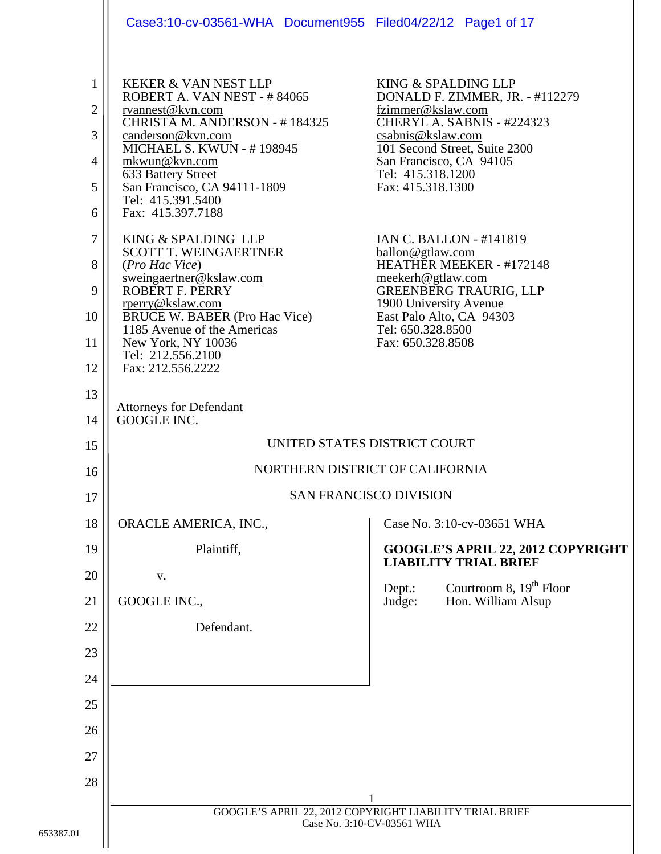|                                                                   | Case3:10-cv-03561-WHA Document955 Filed04/22/12 Page1 of 17                                                                                                                                                                                                                                                                                                                                                                              |                                                                                                                                                                                                                                                                                                                                                                                     |
|-------------------------------------------------------------------|------------------------------------------------------------------------------------------------------------------------------------------------------------------------------------------------------------------------------------------------------------------------------------------------------------------------------------------------------------------------------------------------------------------------------------------|-------------------------------------------------------------------------------------------------------------------------------------------------------------------------------------------------------------------------------------------------------------------------------------------------------------------------------------------------------------------------------------|
| $\mathbf{1}$<br>$\overline{2}$<br>3<br>4<br>5<br>6<br>7<br>8<br>9 | <b>KEKER &amp; VAN NEST LLP</b><br>ROBERT A. VAN NEST - #84065<br>rvannest@kvn.com<br>CHRISTA M. ANDERSON - #184325<br>canderson@kvn.com<br><b>MICHAEL S. KWUN - #198945</b><br>mkwun@kvn.com<br>633 Battery Street<br>San Francisco, CA 94111-1809<br>Tel: 415.391.5400<br>Fax: 415.397.7188<br>KING & SPALDING LLP<br><b>SCOTT T. WEINGAERTNER</b><br>(Pro Hac Vice)<br>sweingaertner@kslaw.com<br>ROBERT F. PERRY<br>rperry@kslaw.com | KING & SPALDING LLP<br>DONALD F. ZIMMER, JR. - #112279<br>fzimmer@kslaw.com<br>CHERYL A. SABNIS - #224323<br>csabnis@kslaw.com<br>101 Second Street, Suite 2300<br>San Francisco, CA 94105<br>Tel: 415.318.1200<br>Fax: 415.318.1300<br><b>IAN C. BALLON - #141819</b><br><u>ballon@gtlaw.com</u><br>HEATHER MEEKER - #172148<br>meekerh@gtlaw.com<br><b>GREENBERG TRAURIG, LLP</b> |
| 10<br>11<br>12                                                    | <b>BRUCE W. BABER (Pro Hac Vice)</b><br>1185 Avenue of the Americas<br>New York, NY 10036<br>Tel: 212.556.2100<br>Fax: 212.556.2222                                                                                                                                                                                                                                                                                                      | 1900 University Avenue<br>East Palo Alto, CA 94303<br>Tel: 650.328.8500<br>Fax: 650.328.8508                                                                                                                                                                                                                                                                                        |
| 13<br>14                                                          | <b>Attorneys for Defendant</b><br>GOOGLE INC.                                                                                                                                                                                                                                                                                                                                                                                            |                                                                                                                                                                                                                                                                                                                                                                                     |
| 15                                                                | UNITED STATES DISTRICT COURT                                                                                                                                                                                                                                                                                                                                                                                                             |                                                                                                                                                                                                                                                                                                                                                                                     |
| 16                                                                |                                                                                                                                                                                                                                                                                                                                                                                                                                          | NORTHERN DISTRICT OF CALIFORNIA                                                                                                                                                                                                                                                                                                                                                     |
| 17                                                                | <b>SAN FRANCISCO DIVISION</b>                                                                                                                                                                                                                                                                                                                                                                                                            |                                                                                                                                                                                                                                                                                                                                                                                     |
| 18                                                                | ORACLE AMERICA, INC.,                                                                                                                                                                                                                                                                                                                                                                                                                    | Case No. 3:10-cv-03651 WHA                                                                                                                                                                                                                                                                                                                                                          |
| 19                                                                | Plaintiff,                                                                                                                                                                                                                                                                                                                                                                                                                               | <b>GOOGLE'S APRIL 22, 2012 COPYRIGHT</b><br><b>LIABILITY TRIAL BRIEF</b>                                                                                                                                                                                                                                                                                                            |
| 20                                                                | V.                                                                                                                                                                                                                                                                                                                                                                                                                                       | Courtroom 8, $19th$ Floor<br>Dept.:                                                                                                                                                                                                                                                                                                                                                 |
| 21                                                                | GOOGLE INC.,                                                                                                                                                                                                                                                                                                                                                                                                                             | Judge:<br>Hon. William Alsup                                                                                                                                                                                                                                                                                                                                                        |
| 22                                                                | Defendant.                                                                                                                                                                                                                                                                                                                                                                                                                               |                                                                                                                                                                                                                                                                                                                                                                                     |
| 23                                                                |                                                                                                                                                                                                                                                                                                                                                                                                                                          |                                                                                                                                                                                                                                                                                                                                                                                     |
| 24                                                                |                                                                                                                                                                                                                                                                                                                                                                                                                                          |                                                                                                                                                                                                                                                                                                                                                                                     |
| 25                                                                |                                                                                                                                                                                                                                                                                                                                                                                                                                          |                                                                                                                                                                                                                                                                                                                                                                                     |
| 26                                                                |                                                                                                                                                                                                                                                                                                                                                                                                                                          |                                                                                                                                                                                                                                                                                                                                                                                     |
| 27                                                                |                                                                                                                                                                                                                                                                                                                                                                                                                                          |                                                                                                                                                                                                                                                                                                                                                                                     |
| 28                                                                |                                                                                                                                                                                                                                                                                                                                                                                                                                          |                                                                                                                                                                                                                                                                                                                                                                                     |
| $\overline{\mathfrak{z}}$                                         |                                                                                                                                                                                                                                                                                                                                                                                                                                          | GOOGLE'S APRIL 22, 2012 COPYRIGHT LIABILITY TRIAL BRIEF<br>Case No. 3:10-CV-03561 WHA                                                                                                                                                                                                                                                                                               |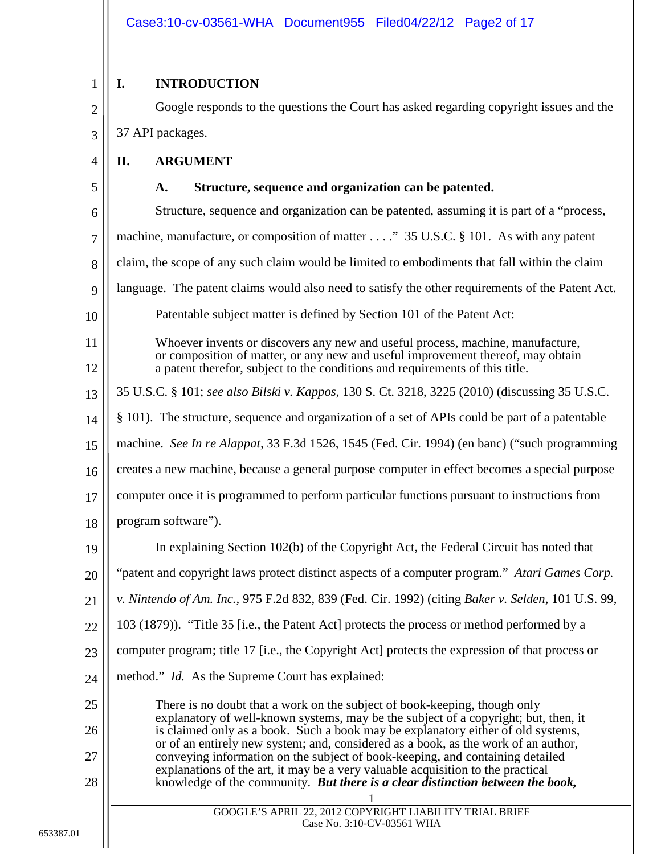|                | Case3:10-cv-03561-WHA Document955 Filed04/22/12 Page2 of 17                                                                                                                                                                                       |  |
|----------------|---------------------------------------------------------------------------------------------------------------------------------------------------------------------------------------------------------------------------------------------------|--|
| 1              | <b>INTRODUCTION</b><br>I.                                                                                                                                                                                                                         |  |
| $\overline{2}$ | Google responds to the questions the Court has asked regarding copyright issues and the                                                                                                                                                           |  |
| 3              | 37 API packages.                                                                                                                                                                                                                                  |  |
| 4              | II.<br><b>ARGUMENT</b>                                                                                                                                                                                                                            |  |
| 5              | A.<br>Structure, sequence and organization can be patented.                                                                                                                                                                                       |  |
| 6              | Structure, sequence and organization can be patented, assuming it is part of a "process,                                                                                                                                                          |  |
| $\overline{7}$ | machine, manufacture, or composition of matter " 35 U.S.C. § 101. As with any patent                                                                                                                                                              |  |
| 8              | claim, the scope of any such claim would be limited to embodiments that fall within the claim                                                                                                                                                     |  |
| 9              | language. The patent claims would also need to satisfy the other requirements of the Patent Act.                                                                                                                                                  |  |
| 10             | Patentable subject matter is defined by Section 101 of the Patent Act:                                                                                                                                                                            |  |
| 11<br>12       | Whoever invents or discovers any new and useful process, machine, manufacture,<br>or composition of matter, or any new and useful improvement thereof, may obtain<br>a patent therefor, subject to the conditions and requirements of this title. |  |
| 13             | 35 U.S.C. § 101; see also Bilski v. Kappos, 130 S. Ct. 3218, 3225 (2010) (discussing 35 U.S.C.                                                                                                                                                    |  |
| 14             | § 101). The structure, sequence and organization of a set of APIs could be part of a patentable                                                                                                                                                   |  |
| 15             | machine. See In re Alappat, 33 F.3d 1526, 1545 (Fed. Cir. 1994) (en banc) ("such programming                                                                                                                                                      |  |
| 16             | creates a new machine, because a general purpose computer in effect becomes a special purpose                                                                                                                                                     |  |
| 17             | computer once it is programmed to perform particular functions pursuant to instructions from                                                                                                                                                      |  |
| 18             | program software").                                                                                                                                                                                                                               |  |
| 19             | In explaining Section 102(b) of the Copyright Act, the Federal Circuit has noted that                                                                                                                                                             |  |
| 20             | "patent and copyright laws protect distinct aspects of a computer program." Atari Games Corp.                                                                                                                                                     |  |
| 21             | v. Nintendo of Am. Inc., 975 F.2d 832, 839 (Fed. Cir. 1992) (citing Baker v. Selden, 101 U.S. 99,                                                                                                                                                 |  |
| 22             | 103 (1879)). "Title 35 [i.e., the Patent Act] protects the process or method performed by a                                                                                                                                                       |  |
| 23             | computer program; title 17 [i.e., the Copyright Act] protects the expression of that process or                                                                                                                                                   |  |
| 24             | method." <i>Id.</i> As the Supreme Court has explained:                                                                                                                                                                                           |  |
| 25             | There is no doubt that a work on the subject of book-keeping, though only                                                                                                                                                                         |  |
| 26             | explanatory of well-known systems, may be the subject of a copyright; but, then, it<br>is claimed only as a book. Such a book may be explanatory either of old systems,                                                                           |  |
| 27             | or of an entirely new system; and, considered as a book, as the work of an author,<br>conveying information on the subject of book-keeping, and containing detailed                                                                               |  |
| 28             | explanations of the art, it may be a very valuable acquisition to the practical<br>knowledge of the community. But there is a clear distinction between the book,                                                                                 |  |
|                | GOOGLE'S APRIL 22, 2012 COPYRIGHT LIABILITY TRIAL BRIEF                                                                                                                                                                                           |  |

 $\mathbf{L}$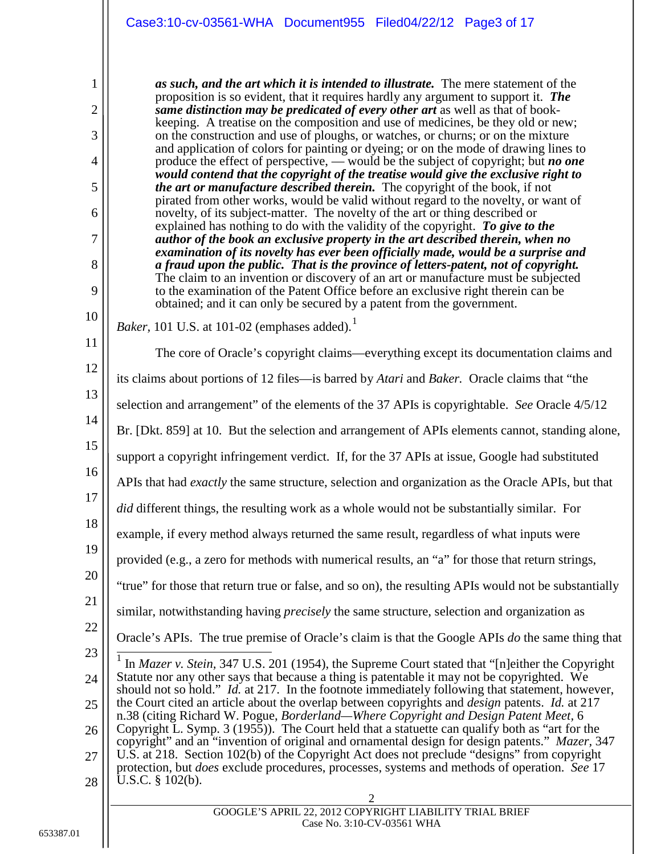*as such, and the art which it is intended to illustrate.* The mere statement of the proposition is so evident, that it requires hardly any argument to support it. *The same distinction may be predicated of every other art* as well as that of bookkeeping. A treatise on the composition and use of medicines, be they old or new; on the construction and use of ploughs, or watches, or churns; or on the mixture and application of colors for painting or dyeing; or on the mode of drawing lines to produce the effect of perspective, — would be the subject of copyright; but *no one would contend that the copyright of the treatise would give the exclusive right to the art or manufacture described therein.* The copyright of the book, if not pirated from other works, would be valid without regard to the novelty, or want of novelty, of its subject-matter. The novelty of the art or thing described or explained has nothing to do with the validity of the copyright. *To give to the author of the book an exclusive property in the art described therein, when no examination of its novelty has ever been officially made, would be a surprise and a fraud upon the public. That is the province of letters-patent, not of copyright.*  The claim to an invention or discovery of an art or manufacture must be subjected to the examination of the Patent Office before an exclusive right therein can be obtained; and it can only be secured by a patent from the government. *Baker*, [1](#page-2-0)01 U.S. at 101-02 (emphases added).<sup>1</sup>

11 12 13 14 15 16 17 18 19 20 21 22 23 24 25 26 The core of Oracle's copyright claims—everything except its documentation claims and its claims about portions of 12 files—is barred by *Atari* and *Baker.* Oracle claims that "the selection and arrangement" of the elements of the 37 APIs is copyrightable. *See* Oracle 4/5/12 Br. [Dkt. 859] at 10. But the selection and arrangement of APIs elements cannot, standing alone, support a copyright infringement verdict. If, for the 37 APIs at issue, Google had substituted APIs that had *exactly* the same structure, selection and organization as the Oracle APIs, but that *did* different things, the resulting work as a whole would not be substantially similar. For example, if every method always returned the same result, regardless of what inputs were provided (e.g., a zero for methods with numerical results, an "a" for those that return strings, "true" for those that return true or false, and so on), the resulting APIs would not be substantially similar, notwithstanding having *precisely* the same structure, selection and organization as Oracle's APIs. The true premise of Oracle's claim is that the Google APIs *do* the same thing that 1 In *Mazer v. Stein,* 347 U.S. 201 (1954), the Supreme Court stated that "[n]either the Copyright Statute nor any other says that because a thing is patentable it may not be copyrighted. We should not so hold." *Id.* at 217. In the footnote immediately following that statement, however, the Court cited an article about the overlap between copyrights and *design* patents. *Id.* at 217 n.38 (citing Richard W. Pogue, *Borderland—Where Copyright and Design Patent Meet,* 6 Copyright L. Symp. 3 (1955)). The Court held that a statuette can qualify both as "art for the copyright" and an "invention of original and ornamental design for design patents." *Mazer,* 347

<span id="page-2-0"></span>27 28 U.S. at 218. Section 102(b) of the Copyright Act does not preclude "designs" from copyright protection, but *does* exclude procedures, processes, systems and methods of operation. *See* 17 U.S.C. § 102(b).

1

2

3

4

5

6

7

8

9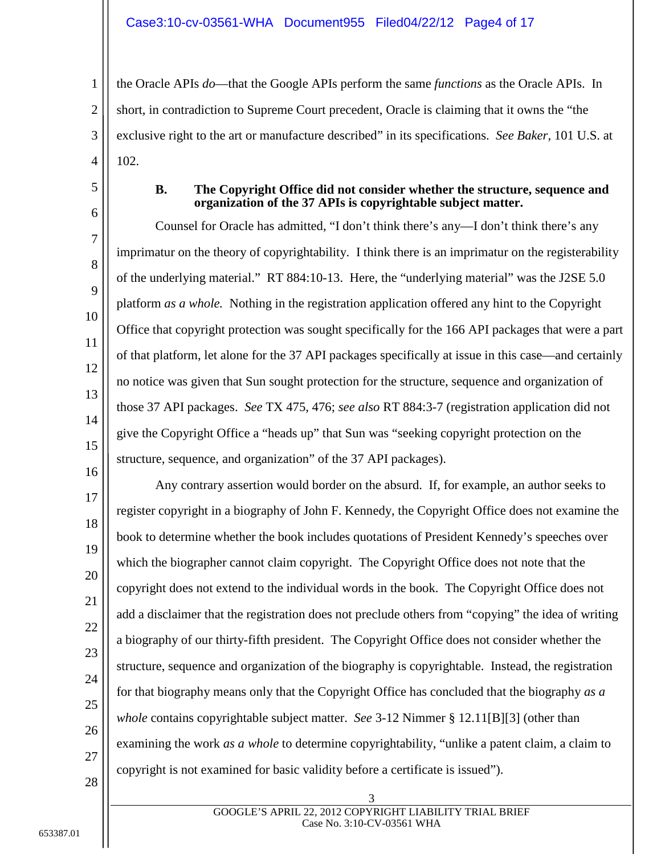the Oracle APIs *do*—that the Google APIs perform the same *functions* as the Oracle APIs. In short, in contradiction to Supreme Court precedent, Oracle is claiming that it owns the "the exclusive right to the art or manufacture described" in its specifications. *See Baker,* 101 U.S. at 102.

5 6

7

8

9

10

11

12

13

14

15

16

17

1

2

3

4

#### **B. The Copyright Office did not consider whether the structure, sequence and organization of the 37 APIs is copyrightable subject matter.**

Counsel for Oracle has admitted, "I don't think there's any—I don't think there's any imprimatur on the theory of copyrightability. I think there is an imprimatur on the registerability of the underlying material." RT 884:10-13. Here, the "underlying material" was the J2SE 5.0 platform *as a whole.* Nothing in the registration application offered any hint to the Copyright Office that copyright protection was sought specifically for the 166 API packages that were a part of that platform, let alone for the 37 API packages specifically at issue in this case—and certainly no notice was given that Sun sought protection for the structure, sequence and organization of those 37 API packages. *See* TX 475, 476; *see also* RT 884:3-7 (registration application did not give the Copyright Office a "heads up" that Sun was "seeking copyright protection on the structure, sequence, and organization" of the 37 API packages).

18 19 20 21 22 23 24 25 26 27 Any contrary assertion would border on the absurd. If, for example, an author seeks to register copyright in a biography of John F. Kennedy, the Copyright Office does not examine the book to determine whether the book includes quotations of President Kennedy's speeches over which the biographer cannot claim copyright. The Copyright Office does not note that the copyright does not extend to the individual words in the book. The Copyright Office does not add a disclaimer that the registration does not preclude others from "copying" the idea of writing a biography of our thirty-fifth president. The Copyright Office does not consider whether the structure, sequence and organization of the biography is copyrightable. Instead, the registration for that biography means only that the Copyright Office has concluded that the biography *as a whole* contains copyrightable subject matter. *See* 3-12 Nimmer § 12.11[B][3] (other than examining the work *as a whole* to determine copyrightability, "unlike a patent claim, a claim to copyright is not examined for basic validity before a certificate is issued").

> 3 GOOGLE'S APRIL 22, 2012 COPYRIGHT LIABILITY TRIAL BRIEF Case No. 3:10-CV-03561 WHA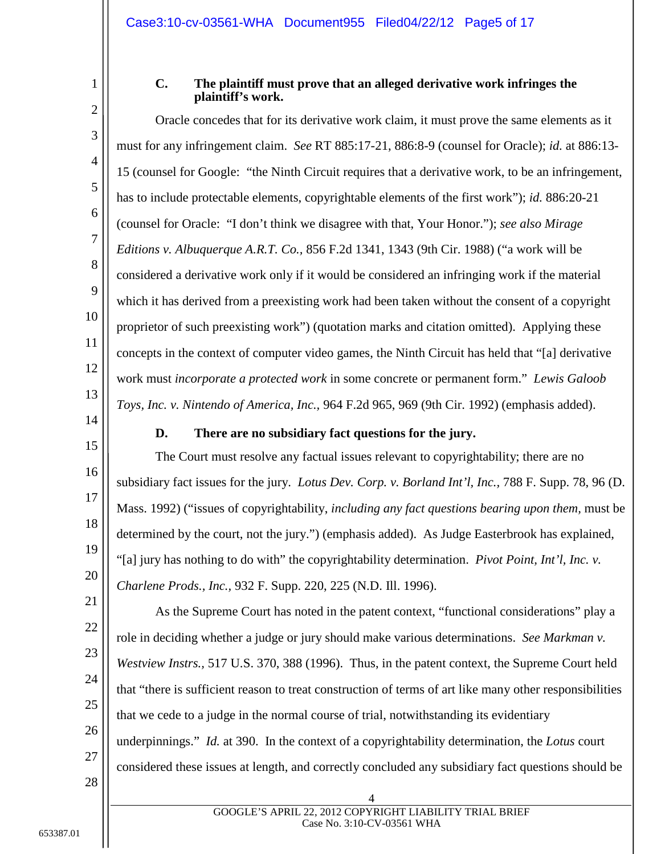2 3

4

5

6

7

8

9

10

11

12

13

1

#### **C. The plaintiff must prove that an alleged derivative work infringes the plaintiff's work.**

Oracle concedes that for its derivative work claim, it must prove the same elements as it must for any infringement claim. *See* RT 885:17-21, 886:8-9 (counsel for Oracle); *id.* at 886:13- 15 (counsel for Google: "the Ninth Circuit requires that a derivative work, to be an infringement, has to include protectable elements, copyrightable elements of the first work"); *id.* 886:20-21 (counsel for Oracle: "I don't think we disagree with that, Your Honor."); *see also Mirage Editions v. Albuquerque A.R.T. Co.,* 856 F.2d 1341, 1343 (9th Cir. 1988) ("a work will be considered a derivative work only if it would be considered an infringing work if the material which it has derived from a preexisting work had been taken without the consent of a copyright proprietor of such preexisting work") (quotation marks and citation omitted). Applying these concepts in the context of computer video games, the Ninth Circuit has held that "[a] derivative work must *incorporate a protected work* in some concrete or permanent form." *Lewis Galoob Toys, Inc. v. Nintendo of America, Inc.,* 964 F.2d 965, 969 (9th Cir. 1992) (emphasis added).

14

15

16

17

18

19

20

#### **D. There are no subsidiary fact questions for the jury.**

The Court must resolve any factual issues relevant to copyrightability; there are no subsidiary fact issues for the jury. *Lotus Dev. Corp. v. Borland Int'l, Inc.,* 788 F. Supp. 78, 96 (D. Mass. 1992) ("issues of copyrightability, *including any fact questions bearing upon them,* must be determined by the court, not the jury.") (emphasis added). As Judge Easterbrook has explained, "[a] jury has nothing to do with" the copyrightability determination. *Pivot Point, Int'l, Inc. v. Charlene Prods., Inc.,* 932 F. Supp. 220, 225 (N.D. Ill. 1996).

As the Supreme Court has noted in the patent context, "functional considerations" play a role in deciding whether a judge or jury should make various determinations. *See Markman v. Westview Instrs.,* 517 U.S. 370, 388 (1996). Thus, in the patent context, the Supreme Court held that "there is sufficient reason to treat construction of terms of art like many other responsibilities that we cede to a judge in the normal course of trial, notwithstanding its evidentiary underpinnings." *Id.* at 390. In the context of a copyrightability determination, the *Lotus* court considered these issues at length, and correctly concluded any subsidiary fact questions should be

28

26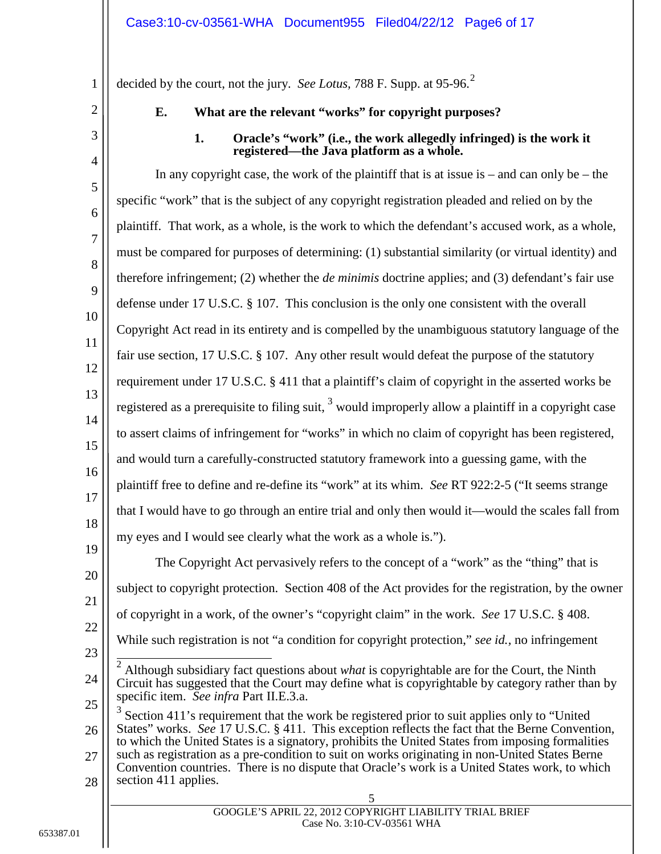decided by the court, not the jury. *See Lotus*, 788 F. Supp. at 95-96.<sup>[2](#page-5-0)</sup>

### **E. What are the relevant "works" for copyright purposes?**

**1. Oracle's "work" (i.e., the work allegedly infringed) is the work it** 

# 3

1

2

4

5

6

7

8

9

10

11

12

13

14

15

16

17

18

**registered—the Java platform as a whole.** In any copyright case, the work of the plaintiff that is at issue is  $-$  and can only be  $-$  the specific "work" that is the subject of any copyright registration pleaded and relied on by the plaintiff. That work, as a whole, is the work to which the defendant's accused work, as a whole, must be compared for purposes of determining: (1) substantial similarity (or virtual identity) and therefore infringement; (2) whether the *de minimis* doctrine applies; and (3) defendant's fair use defense under 17 U.S.C. § 107. This conclusion is the only one consistent with the overall Copyright Act read in its entirety and is compelled by the unambiguous statutory language of the fair use section, 17 U.S.C. § 107. Any other result would defeat the purpose of the statutory requirement under 17 U.S.C. § 411 that a plaintiff's claim of copyright in the asserted works be registered as a prerequisite to filing suit,  $3 \text{ would improve}$  $3 \text{ would improve}$  allow a plaintiff in a copyright case to assert claims of infringement for "works" in which no claim of copyright has been registered, and would turn a carefully-constructed statutory framework into a guessing game, with the plaintiff free to define and re-define its "work" at its whim. *See* RT 922:2-5 ("It seems strange that I would have to go through an entire trial and only then would it—would the scales fall from my eyes and I would see clearly what the work as a whole is.").

<span id="page-5-1"></span><span id="page-5-0"></span>19 20 21 22 23 24 25 26 27 28 5 GOOGLE'S APRIL 22, 2012 COPYRIGHT LIABILITY TRIAL BRIEF Case No. 3:10-CV-03561 WHA The Copyright Act pervasively refers to the concept of a "work" as the "thing" that is subject to copyright protection. Section 408 of the Act provides for the registration, by the owner of copyright in a work, of the owner's "copyright claim" in the work. *See* 17 U.S.C. § 408. While such registration is not "a condition for copyright protection," *see id.,* no infringement 2 Although subsidiary fact questions about *what* is copyrightable are for the Court, the Ninth Circuit has suggested that the Court may define what is copyrightable by category rather than by specific item. *See infra* Part [II.E.3.a.](#page-9-0)  $3$  Section 411's requirement that the work be registered prior to suit applies only to "United" States" works. *See* 17 U.S.C. § 411. This exception reflects the fact that the Berne Convention, to which the United States is a signatory, prohibits the United States from imposing formalities such as registration as a pre-condition to suit on works originating in non-United States Berne Convention countries. There is no dispute that Oracle's work is a United States work, to which section 411 applies.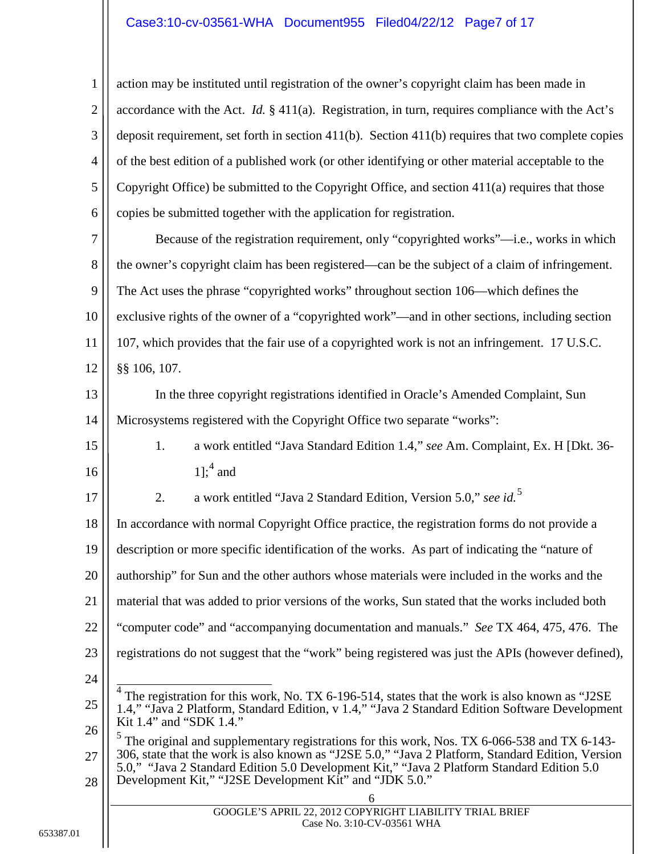#### Case3:10-cv-03561-WHA Document955 Filed04/22/12 Page7 of 17

1 2 3 4 5 6 action may be instituted until registration of the owner's copyright claim has been made in accordance with the Act. *Id.* § 411(a). Registration, in turn, requires compliance with the Act's deposit requirement, set forth in section 411(b). Section 411(b) requires that two complete copies of the best edition of a published work (or other identifying or other material acceptable to the Copyright Office) be submitted to the Copyright Office, and section 411(a) requires that those copies be submitted together with the application for registration.

7 8 9 10 11 12 Because of the registration requirement, only "copyrighted works"—i.e., works in which the owner's copyright claim has been registered—can be the subject of a claim of infringement. The Act uses the phrase "copyrighted works" throughout section 106—which defines the exclusive rights of the owner of a "copyrighted work"—and in other sections, including section 107, which provides that the fair use of a copyrighted work is not an infringement. 17 U.S.C. §§ 106, 107.

13 14 In the three copyright registrations identified in Oracle's Amended Complaint, Sun Microsystems registered with the Copyright Office two separate "works":

15

16

17

1. a work entitled "Java Standard Edition 1.4," *see* Am. Complaint, Ex. H [Dkt. 36-  $1$ ];<sup>[4](#page-6-0)</sup> and

2. a work entitled "Java 2 Standard Edition, Version 5.0," *see id.*[5](#page-6-1)

18 19 20 21 22 23 In accordance with normal Copyright Office practice, the registration forms do not provide a description or more specific identification of the works. As part of indicating the "nature of authorship" for Sun and the other authors whose materials were included in the works and the material that was added to prior versions of the works, Sun stated that the works included both "computer code" and "accompanying documentation and manuals." *See* TX 464, 475, 476. The registrations do not suggest that the "work" being registered was just the APIs (however defined),

<span id="page-6-0"></span>25

28 Development Kit," "J2SE Development Kit" and "JDK 5.0."

<sup>24</sup>

The registration for this work, No. TX 6-196-514, states that the work is also known as "J2SE 1.4," "Java 2 Platform, Standard Edition, v 1.4," "Java 2 Standard Edition Software Development Kit 1.4" and "SDK 1.4."

<span id="page-6-1"></span><sup>26</sup> 27 <sup>5</sup> The original and supplementary registrations for this work, Nos. TX 6-066-538 and TX 6-143- 306, state that the work is also known as "J2SE 5.0," "Java 2 Platform, Standard Edition, Version 5.0," "Java 2 Standard Edition 5.0 Development Kit," "Java 2 Platform Standard Edition 5.0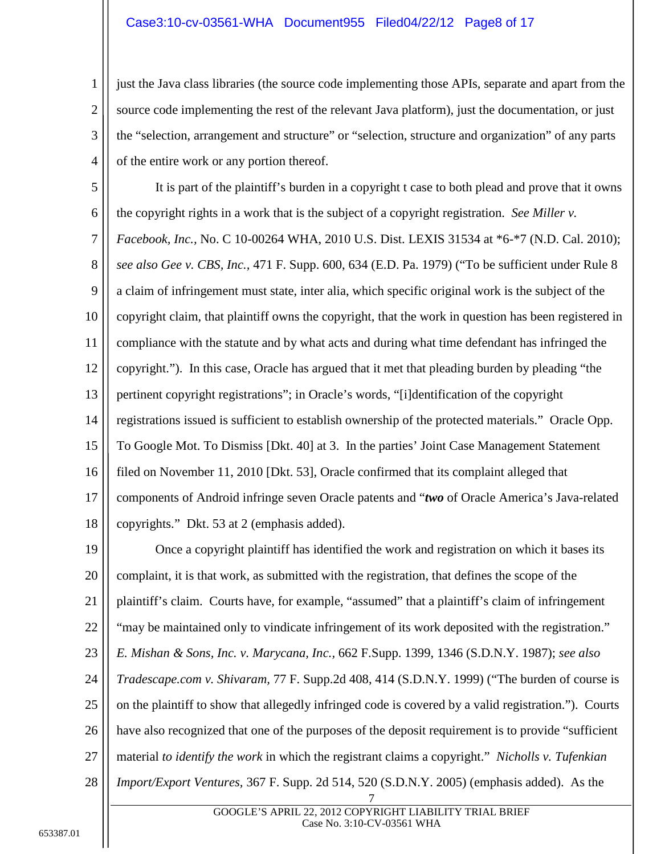#### Case3:10-cv-03561-WHA Document955 Filed04/22/12 Page8 of 17

just the Java class libraries (the source code implementing those APIs, separate and apart from the source code implementing the rest of the relevant Java platform), just the documentation, or just the "selection, arrangement and structure" or "selection, structure and organization" of any parts of the entire work or any portion thereof.

5 6 7 8 9 10 11 12 13 14 15 16 17 18 It is part of the plaintiff's burden in a copyright t case to both plead and prove that it owns the copyright rights in a work that is the subject of a copyright registration. *See Miller v. Facebook, Inc.,* No. C 10-00264 WHA, 2010 U.S. Dist. LEXIS 31534 at \*6-\*7 (N.D. Cal. 2010); *see also Gee v. CBS, Inc.,* 471 F. Supp. 600, 634 (E.D. Pa. 1979) ("To be sufficient under Rule 8 a claim of infringement must state, inter alia, which specific original work is the subject of the copyright claim, that plaintiff owns the copyright, that the work in question has been registered in compliance with the statute and by what acts and during what time defendant has infringed the copyright."). In this case, Oracle has argued that it met that pleading burden by pleading "the pertinent copyright registrations"; in Oracle's words, "[i]dentification of the copyright registrations issued is sufficient to establish ownership of the protected materials." Oracle Opp. To Google Mot. To Dismiss [Dkt. 40] at 3. In the parties' Joint Case Management Statement filed on November 11, 2010 [Dkt. 53], Oracle confirmed that its complaint alleged that components of Android infringe seven Oracle patents and "*two* of Oracle America's Java-related copyrights." Dkt. 53 at 2 (emphasis added).

19 20 21 22 23 24 25 26 27 28 7 Once a copyright plaintiff has identified the work and registration on which it bases its complaint, it is that work, as submitted with the registration, that defines the scope of the plaintiff's claim. Courts have, for example, "assumed" that a plaintiff's claim of infringement "may be maintained only to vindicate infringement of its work deposited with the registration." *E. Mishan & Sons, Inc. v. Marycana, Inc.,* 662 F.Supp. 1399, 1346 (S.D.N.Y. 1987); *see also Tradescape.com v. Shivaram,* 77 F. Supp.2d 408, 414 (S.D.N.Y. 1999) ("The burden of course is on the plaintiff to show that allegedly infringed code is covered by a valid registration."). Courts have also recognized that one of the purposes of the deposit requirement is to provide "sufficient material *to identify the work* in which the registrant claims a copyright." *Nicholls v. Tufenkian Import/Export Ventures,* 367 F. Supp. 2d 514, 520 (S.D.N.Y. 2005) (emphasis added). As the

1

2

3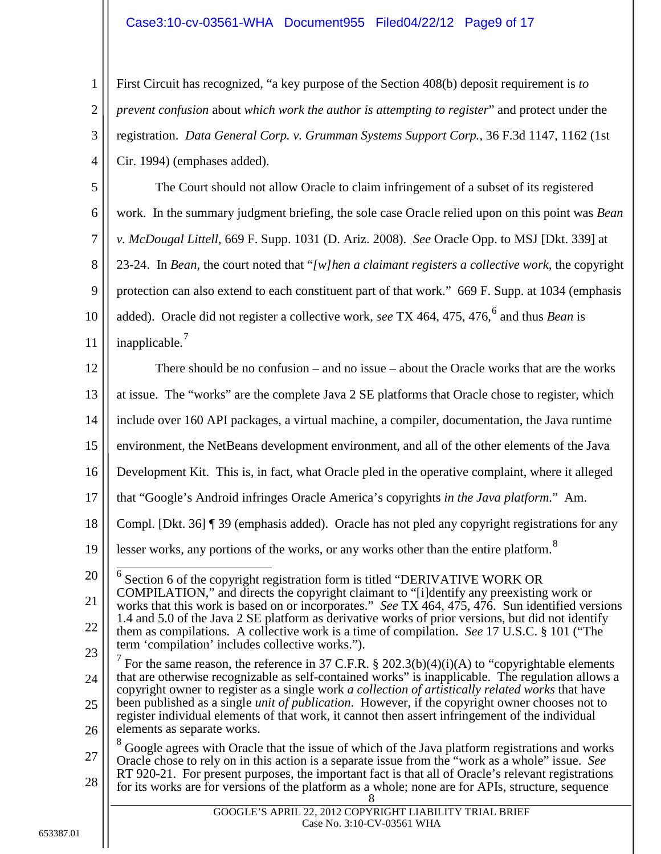#### Case3:10-cv-03561-WHA Document955 Filed04/22/12 Page9 of 17

First Circuit has recognized, "a key purpose of the Section 408(b) deposit requirement is *to prevent confusion* about *which work the author is attempting to register*" and protect under the registration. *Data General Corp. v. Grumman Systems Support Corp.,* 36 F.3d 1147, 1162 (1st Cir. 1994) (emphases added).

5 6 7 8 9 10 11 The Court should not allow Oracle to claim infringement of a subset of its registered work. In the summary judgment briefing, the sole case Oracle relied upon on this point was *Bean v. McDougal Littell,* 669 F. Supp. 1031 (D. Ariz. 2008). *See* Oracle Opp. to MSJ [Dkt. 339] at 23-24. In *Bean,* the court noted that "*[w]hen a claimant registers a collective work,* the copyright protection can also extend to each constituent part of that work." 669 F. Supp. at 1034 (emphasis added). Oracle did not register a collective work, *see* TX 4[6](#page-8-0)4, 475, 476,<sup>6</sup> and thus *Bean* is inapplicable. $'$ 

<span id="page-8-2"></span><span id="page-8-1"></span><span id="page-8-0"></span>12 13 14 15 16 17 18 19 20 21 22 23 24 25 26 27 28 8 GOOGLE'S APRIL 22, 2012 COPYRIGHT LIABILITY TRIAL BRIEF Case No. 3:10-CV-03561 WHA There should be no confusion – and no issue – about the Oracle works that are the works at issue. The "works" are the complete Java 2 SE platforms that Oracle chose to register, which include over 160 API packages, a virtual machine, a compiler, documentation, the Java runtime environment, the NetBeans development environment, and all of the other elements of the Java Development Kit. This is, in fact, what Oracle pled in the operative complaint, where it alleged that "Google's Android infringes Oracle America's copyrights *in the Java platform*." Am. Compl. [Dkt. 36] ¶ 39 (emphasis added). Oracle has not pled any copyright registrations for any lesser works, any portions of the works, or any works other than the entire platform.<sup>[8](#page-8-2)</sup> 6 Section 6 of the copyright registration form is titled "DERIVATIVE WORK OR COMPILATION," and directs the copyright claimant to "[i]dentify any preexisting work or works that this work is based on or incorporates." *See* TX 464, 475, 476. Sun identified versions 1.4 and 5.0 of the Java 2 SE platform as derivative works of prior versions, but did not identify them as compilations. A collective work is a time of compilation. *See* 17 U.S.C. § 101 ("The term 'compilation' includes collective works."). <sup>7</sup> For the same reason, the reference in 37 C.F.R. § 202.3(b)(4)(i)(A) to "copyrightable elements that are otherwise recognizable as self-contained works" is inapplicable. The regulation allows a copyright owner to register as a single work *a collection of artistically related works* that have been published as a single *unit of publication*. However, if the copyright owner chooses not to register individual elements of that work, it cannot then assert infringement of the individual elements as separate works. Google agrees with Oracle that the issue of which of the Java platform registrations and works Oracle chose to rely on in this action is a separate issue from the "work as a whole" issue. *See* RT 920-21. For present purposes, the important fact is that all of Oracle's relevant registrations for its works are for versions of the platform as a whole; none are for APIs, structure, sequence

1

2

3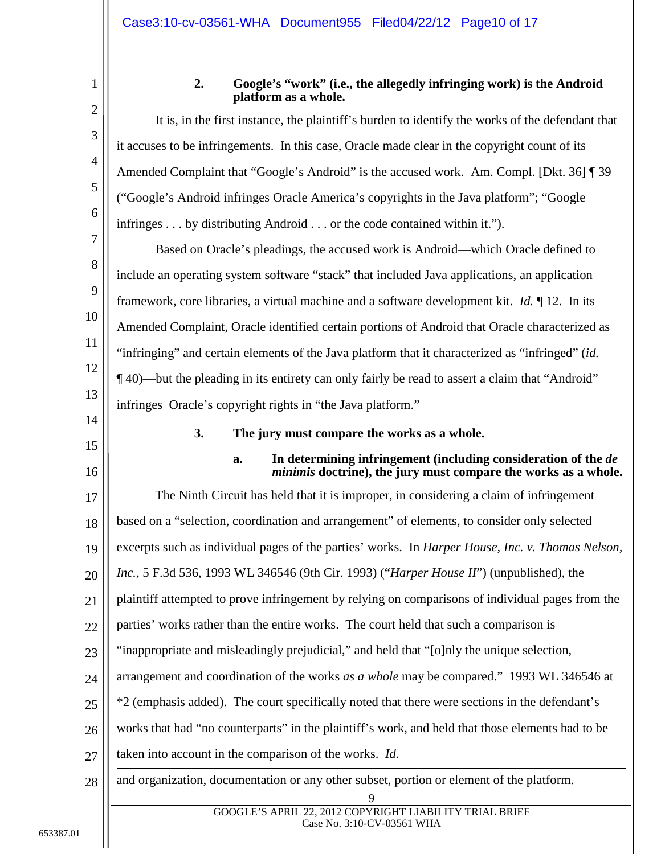2 3

4

5

6

7

8

9

10

11

12

13

1

#### **2. Google's "work" (i.e., the allegedly infringing work) is the Android platform as a whole.**

It is, in the first instance, the plaintiff's burden to identify the works of the defendant that it accuses to be infringements. In this case, Oracle made clear in the copyright count of its Amended Complaint that "Google's Android" is the accused work. Am. Compl. [Dkt. 36] [39] ("Google's Android infringes Oracle America's copyrights in the Java platform"; "Google infringes . . . by distributing Android . . . or the code contained within it.").

Based on Oracle's pleadings, the accused work is Android—which Oracle defined to include an operating system software "stack" that included Java applications, an application framework, core libraries, a virtual machine and a software development kit. *Id.* ¶ 12. In its Amended Complaint, Oracle identified certain portions of Android that Oracle characterized as "infringing" and certain elements of the Java platform that it characterized as "infringed" (*id.* ¶ 40)—but the pleading in its entirety can only fairly be read to assert a claim that "Android" infringes Oracle's copyright rights in "the Java platform."

<span id="page-9-0"></span>14 15

16

#### **3. The jury must compare the works as a whole.**

**a. In determining infringement (including consideration of the** *de minimis* **doctrine), the jury must compare the works as a whole.**

17 18 19 20 21 22 23 24 25 26 27 28 9 The Ninth Circuit has held that it is improper, in considering a claim of infringement based on a "selection, coordination and arrangement" of elements, to consider only selected excerpts such as individual pages of the parties' works. In *Harper House, Inc. v. Thomas Nelson, Inc.,* 5 F.3d 536, 1993 WL 346546 (9th Cir. 1993) ("*Harper House II*") (unpublished), the plaintiff attempted to prove infringement by relying on comparisons of individual pages from the parties' works rather than the entire works. The court held that such a comparison is "inappropriate and misleadingly prejudicial," and held that "[o]nly the unique selection, arrangement and coordination of the works *as a whole* may be compared." 1993 WL 346546 at \*2 (emphasis added). The court specifically noted that there were sections in the defendant's works that had "no counterparts" in the plaintiff's work, and held that those elements had to be taken into account in the comparison of the works. *Id.*  $\overline{a}$ and organization, documentation or any other subset, portion or element of the platform.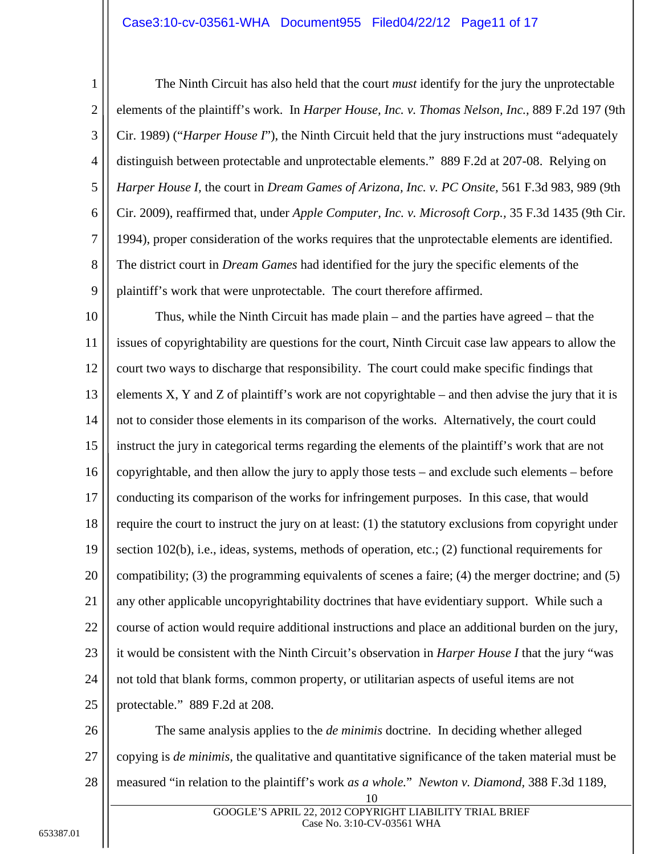#### Case3:10-cv-03561-WHA Document955 Filed04/22/12 Page11 of 17

1 2 3 4 5 6 7 8 9 The Ninth Circuit has also held that the court *must* identify for the jury the unprotectable elements of the plaintiff's work. In *Harper House, Inc. v. Thomas Nelson, Inc.,* 889 F.2d 197 (9th Cir. 1989) ("*Harper House I*"), the Ninth Circuit held that the jury instructions must "adequately distinguish between protectable and unprotectable elements." 889 F.2d at 207-08. Relying on *Harper House I,* the court in *Dream Games of Arizona, Inc. v. PC Onsite,* 561 F.3d 983, 989 (9th Cir. 2009), reaffirmed that, under *Apple Computer, Inc. v. Microsoft Corp.,* 35 F.3d 1435 (9th Cir. 1994), proper consideration of the works requires that the unprotectable elements are identified. The district court in *Dream Games* had identified for the jury the specific elements of the plaintiff's work that were unprotectable. The court therefore affirmed.

10 11 12 13 14 15 16 17 18 19 20 21 22 23 24 25 Thus, while the Ninth Circuit has made plain – and the parties have agreed – that the issues of copyrightability are questions for the court, Ninth Circuit case law appears to allow the court two ways to discharge that responsibility. The court could make specific findings that elements X, Y and Z of plaintiff's work are not copyrightable – and then advise the jury that it is not to consider those elements in its comparison of the works. Alternatively, the court could instruct the jury in categorical terms regarding the elements of the plaintiff's work that are not copyrightable, and then allow the jury to apply those tests – and exclude such elements – before conducting its comparison of the works for infringement purposes. In this case, that would require the court to instruct the jury on at least: (1) the statutory exclusions from copyright under section 102(b), i.e., ideas, systems, methods of operation, etc.; (2) functional requirements for compatibility; (3) the programming equivalents of scenes a faire; (4) the merger doctrine; and (5) any other applicable uncopyrightability doctrines that have evidentiary support. While such a course of action would require additional instructions and place an additional burden on the jury, it would be consistent with the Ninth Circuit's observation in *Harper House I* that the jury "was not told that blank forms, common property, or utilitarian aspects of useful items are not protectable." 889 F.2d at 208.

26 27 28 10 The same analysis applies to the *de minimis* doctrine. In deciding whether alleged copying is *de minimis,* the qualitative and quantitative significance of the taken material must be measured "in relation to the plaintiff's work *as a whole.*" *Newton v. Diamond,* 388 F.3d 1189,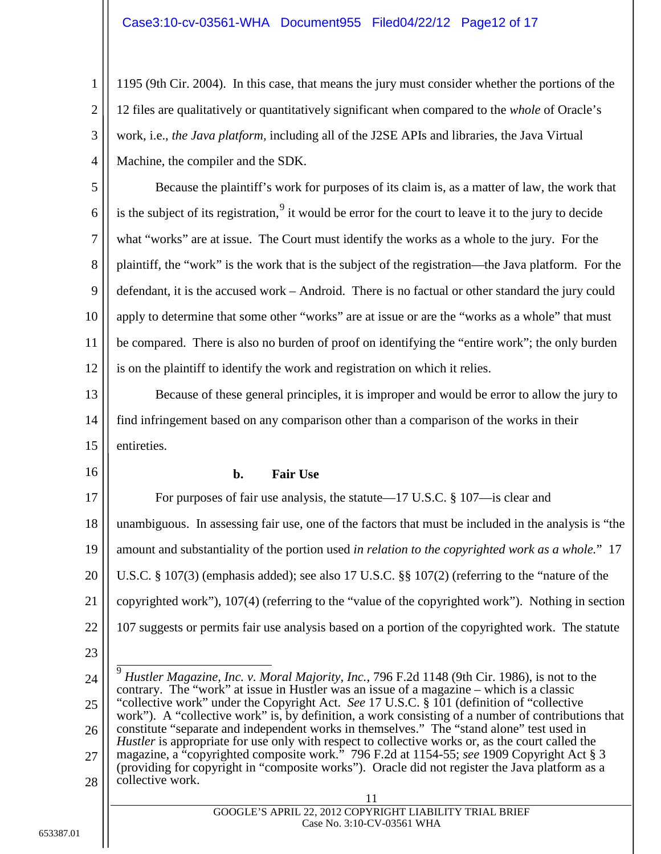#### Case3:10-cv-03561-WHA Document955 Filed04/22/12 Page12 of 17

1195 (9th Cir. 2004). In this case, that means the jury must consider whether the portions of the 12 files are qualitatively or quantitatively significant when compared to the *whole* of Oracle's work, i.e., *the Java platform,* including all of the J2SE APIs and libraries, the Java Virtual Machine, the compiler and the SDK.

5 6 7 8 9 10 11 12 Because the plaintiff's work for purposes of its claim is, as a matter of law, the work that is the subject of its registration, $\frac{9}{9}$  $\frac{9}{9}$  $\frac{9}{9}$  it would be error for the court to leave it to the jury to decide what "works" are at issue. The Court must identify the works as a whole to the jury. For the plaintiff, the "work" is the work that is the subject of the registration—the Java platform. For the defendant, it is the accused work – Android. There is no factual or other standard the jury could apply to determine that some other "works" are at issue or are the "works as a whole" that must be compared. There is also no burden of proof on identifying the "entire work"; the only burden is on the plaintiff to identify the work and registration on which it relies.

13 14 15 Because of these general principles, it is improper and would be error to allow the jury to find infringement based on any comparison other than a comparison of the works in their entireties.

16

1

2

3

4

#### **b. Fair Use**

17 18 19 20 21 22 For purposes of fair use analysis, the statute—17 U.S.C. § 107—is clear and unambiguous. In assessing fair use, one of the factors that must be included in the analysis is "the amount and substantiality of the portion used *in relation to the copyrighted work as a whole.*" 17 U.S.C. § 107(3) (emphasis added); see also 17 U.S.C. §§ 107(2) (referring to the "nature of the copyrighted work"), 107(4) (referring to the "value of the copyrighted work"). Nothing in section 107 suggests or permits fair use analysis based on a portion of the copyrighted work. The statute

<span id="page-11-0"></span><sup>24</sup> 25 26 27 28 9 *Hustler Magazine, Inc. v. Moral Majority, Inc.,* 796 F.2d 1148 (9th Cir. 1986), is not to the contrary. The "work" at issue in Hustler was an issue of a magazine – which is a classic "collective work" under the Copyright Act. *See* 17 U.S.C. § 101 (definition of "collective work"). A "collective work" is, by definition, a work consisting of a number of contributions that constitute "separate and independent works in themselves." The "stand alone" test used in *Hustler* is appropriate for use only with respect to collective works or, as the court called the magazine, a "copyrighted composite work." 796 F.2d at 1154-55; *see* 1909 Copyright Act § 3 (providing for copyright in "composite works"). Oracle did not register the Java platform as a collective work.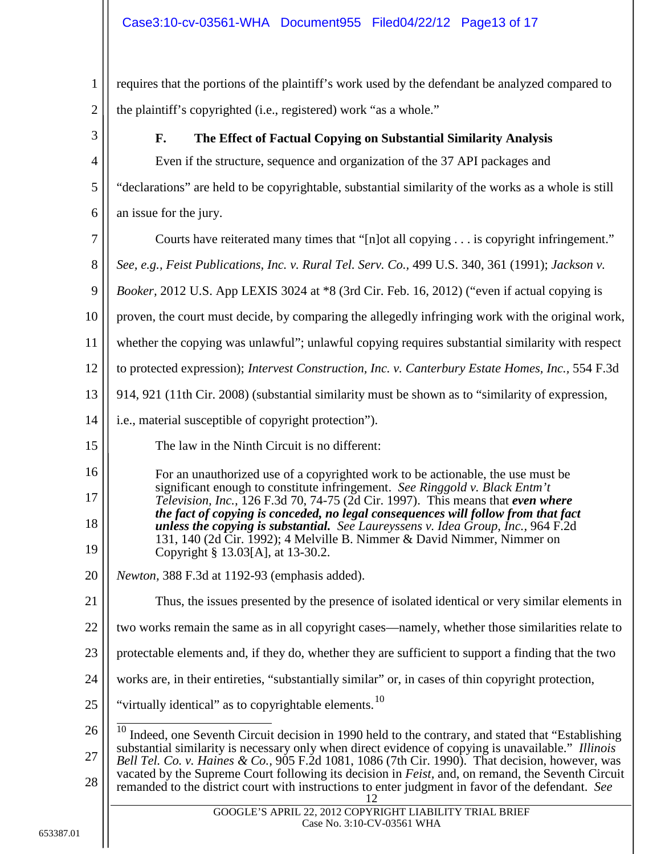1 2 requires that the portions of the plaintiff's work used by the defendant be analyzed compared to the plaintiff's copyrighted (i.e., registered) work "as a whole."

3

4

## **F. The Effect of Factual Copying on Substantial Similarity Analysis**

Even if the structure, sequence and organization of the 37 API packages and

5 6 "declarations" are held to be copyrightable, substantial similarity of the works as a whole is still an issue for the jury.

| $\overline{7}$ | Courts have reiterated many times that "[n] ot all copying is copyright infringement."                                                                                                                 |  |
|----------------|--------------------------------------------------------------------------------------------------------------------------------------------------------------------------------------------------------|--|
| 8              | See, e.g., Feist Publications, Inc. v. Rural Tel. Serv. Co., 499 U.S. 340, 361 (1991); Jackson v.                                                                                                      |  |
| 9              | <i>Booker</i> , 2012 U.S. App LEXIS 3024 at *8 (3rd Cir. Feb. 16, 2012) ("even if actual copying is                                                                                                    |  |
| 10             | proven, the court must decide, by comparing the allegedly infringing work with the original work,                                                                                                      |  |
| 11             | whether the copying was unlawful"; unlawful copying requires substantial similarity with respect                                                                                                       |  |
| 12             | to protected expression); Intervest Construction, Inc. v. Canterbury Estate Homes, Inc., 554 F.3d                                                                                                      |  |
| 13             | 914, 921 (11th Cir. 2008) (substantial similarity must be shown as to "similarity of expression,                                                                                                       |  |
| 14             | i.e., material susceptible of copyright protection").                                                                                                                                                  |  |
| 15             | The law in the Ninth Circuit is no different:                                                                                                                                                          |  |
| 16             | For an unauthorized use of a copyrighted work to be actionable, the use must be                                                                                                                        |  |
| 17             | significant enough to constitute infringement. See Ringgold v. Black Entm't<br>Television, Inc., 126 F.3d 70, 74-75 (2d Cir. 1997). This means that even where                                         |  |
| 18             | the fact of copying is conceded, no legal consequences will follow from that fact<br>unless the copying is substantial. See Laureyssens v. Idea Group, Inc., 964 $F$ .2d                               |  |
| 19             | 131, 140 (2d Cir. 1992); 4 Melville B. Nimmer & David Nimmer, Nimmer on<br>Copyright § 13.03[A], at 13-30.2.                                                                                           |  |
| 20             | Newton, 388 F.3d at 1192-93 (emphasis added).                                                                                                                                                          |  |
| 21             | Thus, the issues presented by the presence of isolated identical or very similar elements in                                                                                                           |  |
| 22             | two works remain the same as in all copyright cases—namely, whether those similarities relate to                                                                                                       |  |
| 23             | protectable elements and, if they do, whether they are sufficient to support a finding that the two                                                                                                    |  |
| 24             | works are, in their entireties, "substantially similar" or, in cases of thin copyright protection,                                                                                                     |  |
| 25             | "virtually identical" as to copyrightable elements. <sup>10</sup>                                                                                                                                      |  |
| 26             | 10<br>Indeed, one Seventh Circuit decision in 1990 held to the contrary, and stated that "Establishing                                                                                                 |  |
| 27             | substantial similarity is necessary only when direct evidence of copying is unavailable." Illinois<br>Bell Tel. Co. v. Haines & Co., 905 F.2d 1081, 1086 (7th Cir. 1990). That decision, however, was  |  |
| 28             | vacated by the Supreme Court following its decision in Feist, and, on remand, the Seventh Circuit<br>remanded to the district court with instructions to enter judgment in favor of the defendant. See |  |
|                | 12                                                                                                                                                                                                     |  |
|                | GOOGLE'S APRIL 22, 2012 COPYRIGHT LIABILITY TRIAL BRIEF<br>Case No. 3:10-CV-03561 WHA                                                                                                                  |  |

<span id="page-12-0"></span> $\mathop{\parallel}$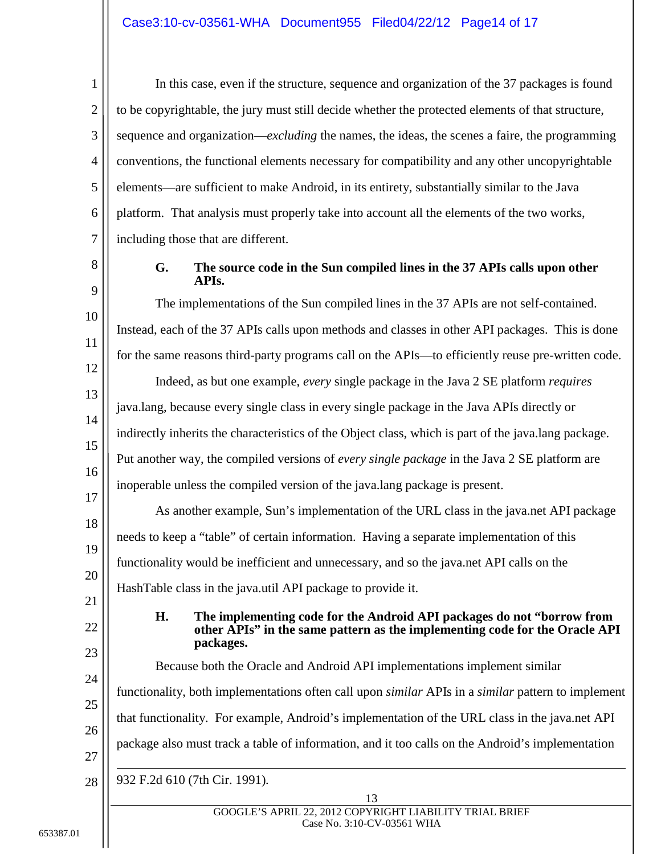#### Case3:10-cv-03561-WHA Document955 Filed04/22/12 Page14 of 17

2 3 4 5 6 7 In this case, even if the structure, sequence and organization of the 37 packages is found to be copyrightable, the jury must still decide whether the protected elements of that structure, sequence and organization—*excluding* the names, the ideas, the scenes a faire, the programming conventions, the functional elements necessary for compatibility and any other uncopyrightable elements—are sufficient to make Android, in its entirety, substantially similar to the Java platform. That analysis must properly take into account all the elements of the two works, including those that are different.

8

9

10

11

12

21

22

1

#### **G. The source code in the Sun compiled lines in the 37 APIs calls upon other APIs.**

The implementations of the Sun compiled lines in the 37 APIs are not self-contained. Instead, each of the 37 APIs calls upon methods and classes in other API packages. This is done for the same reasons third-party programs call on the APIs—to efficiently reuse pre-written code.

13 14 15 16 Indeed, as but one example, *every* single package in the Java 2 SE platform *requires*  java.lang, because every single class in every single package in the Java APIs directly or indirectly inherits the characteristics of the Object class, which is part of the java.lang package. Put another way, the compiled versions of *every single package* in the Java 2 SE platform are inoperable unless the compiled version of the java.lang package is present.

17 18 19 20 As another example, Sun's implementation of the URL class in the java.net API package needs to keep a "table" of certain information. Having a separate implementation of this functionality would be inefficient and unnecessary, and so the java.net API calls on the

HashTable class in the java.util API package to provide it.

**H. The implementing code for the Android API packages do not "borrow from other APIs" in the same pattern as the implementing code for the Oracle API packages.**

23 24 25 26 27 Because both the Oracle and Android API implementations implement similar functionality, both implementations often call upon *similar* APIs in a *similar* pattern to implement that functionality. For example, Android's implementation of the URL class in the java.net API package also must track a table of information, and it too calls on the Android's implementation  $\overline{a}$ 

28 932 F.2d 610 (7th Cir. 1991)*.*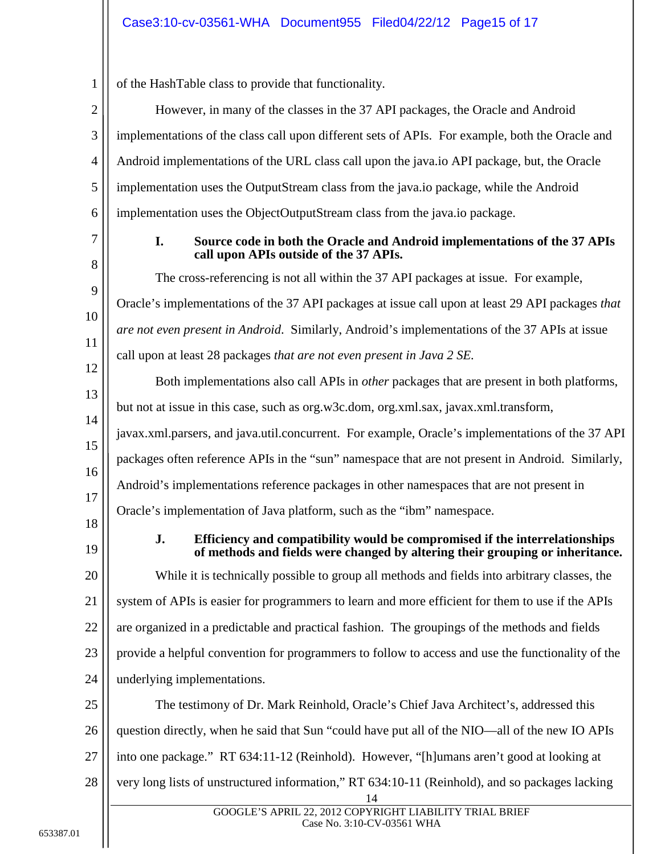of the HashTable class to provide that functionality.

2 3 4 5 6 However, in many of the classes in the 37 API packages, the Oracle and Android implementations of the class call upon different sets of APIs. For example, both the Oracle and Android implementations of the URL class call upon the java.io API package, but, the Oracle implementation uses the OutputStream class from the java.io package, while the Android implementation uses the ObjectOutputStream class from the java.io package.

7

8

9

10

11

12

13

14

15

16

17

1

#### **I. Source code in both the Oracle and Android implementations of the 37 APIs call upon APIs outside of the 37 APIs.**

The cross-referencing is not all within the 37 API packages at issue. For example, Oracle's implementations of the 37 API packages at issue call upon at least 29 API packages *that are not even present in Android*. Similarly, Android's implementations of the 37 APIs at issue call upon at least 28 packages *that are not even present in Java 2 SE.*

Both implementations also call APIs in *other* packages that are present in both platforms, but not at issue in this case, such as org.w3c.dom, org.xml.sax, javax.xml.transform, javax.xml.parsers, and java.util.concurrent. For example, Oracle's implementations of the 37 API packages often reference APIs in the "sun" namespace that are not present in Android. Similarly, Android's implementations reference packages in other namespaces that are not present in Oracle's implementation of Java platform, such as the "ibm" namespace.

18 19

#### **J. Efficiency and compatibility would be compromised if the interrelationships of methods and fields were changed by altering their grouping or inheritance.**

20 21 22 23 24 While it is technically possible to group all methods and fields into arbitrary classes, the system of APIs is easier for programmers to learn and more efficient for them to use if the APIs are organized in a predictable and practical fashion. The groupings of the methods and fields provide a helpful convention for programmers to follow to access and use the functionality of the underlying implementations.

25 26 27 28 14 The testimony of Dr. Mark Reinhold, Oracle's Chief Java Architect's, addressed this question directly, when he said that Sun "could have put all of the NIO—all of the new IO APIs into one package." RT 634:11-12 (Reinhold). However, "[h]umans aren't good at looking at very long lists of unstructured information," RT 634:10-11 (Reinhold), and so packages lacking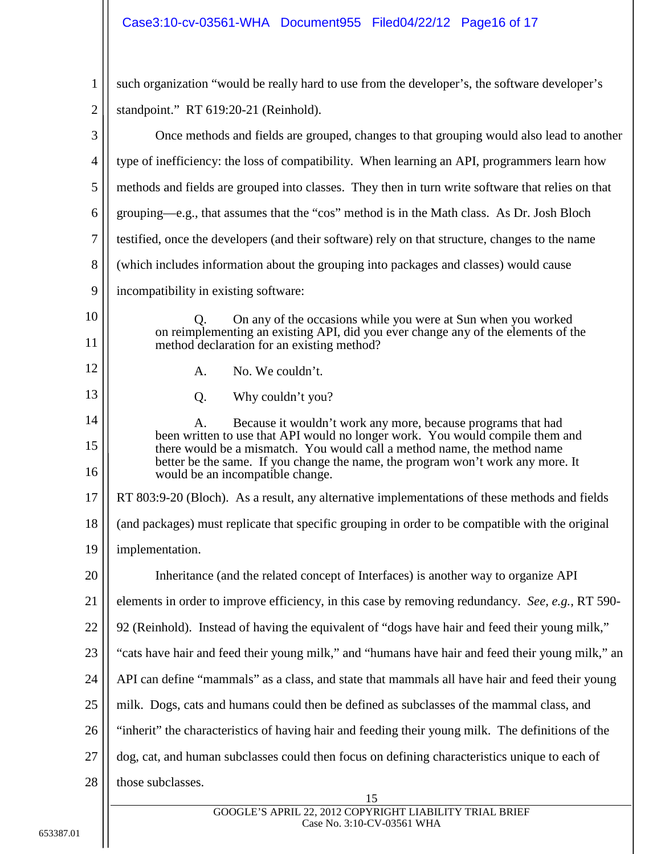#### Case3:10-cv-03561-WHA Document955 Filed04/22/12 Page16 of 17

1 2 3 4 5 6 7 8 9 10 11 such organization "would be really hard to use from the developer's, the software developer's standpoint." RT 619:20-21 (Reinhold). Once methods and fields are grouped, changes to that grouping would also lead to another type of inefficiency: the loss of compatibility. When learning an API, programmers learn how methods and fields are grouped into classes. They then in turn write software that relies on that grouping—e.g., that assumes that the "cos" method is in the Math class. As Dr. Josh Bloch testified, once the developers (and their software) rely on that structure, changes to the name (which includes information about the grouping into packages and classes) would cause incompatibility in existing software: Q. On any of the occasions while you were at Sun when you worked on reimplementing an existing API, did you ever change any of the elements of the method declaration for an existing method?

- A. No. We couldn't.
	- Q. Why couldn't you?

A. Because it wouldn't work any more, because programs that had been written to use that API would no longer work. You would compile them and there would be a mismatch. You would call a method name, the method name better be the same. If you change the name, the program won't work any more. It would be an incompatible change.

- RT 803:9-20 (Bloch). As a result, any alternative implementations of these methods and fields
- 18 (and packages) must replicate that specific grouping in order to be compatible with the original
- 19 implementation.

12

13

14

15

16

17

20 21 22 23 24 25 26 27 28 Inheritance (and the related concept of Interfaces) is another way to organize API elements in order to improve efficiency, in this case by removing redundancy. *See, e.g.,* RT 590- 92 (Reinhold). Instead of having the equivalent of "dogs have hair and feed their young milk," "cats have hair and feed their young milk," and "humans have hair and feed their young milk," an API can define "mammals" as a class, and state that mammals all have hair and feed their young milk. Dogs, cats and humans could then be defined as subclasses of the mammal class, and "inherit" the characteristics of having hair and feeding their young milk. The definitions of the dog, cat, and human subclasses could then focus on defining characteristics unique to each of those subclasses.